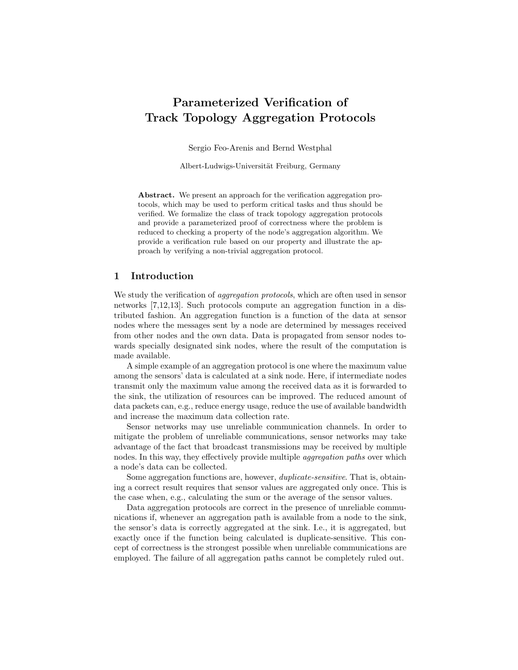# Parameterized Verification of Track Topology Aggregation Protocols

Sergio Feo-Arenis and Bernd Westphal

Albert-Ludwigs-Universität Freiburg, Germany

Abstract. We present an approach for the verification aggregation protocols, which may be used to perform critical tasks and thus should be verified. We formalize the class of track topology aggregation protocols and provide a parameterized proof of correctness where the problem is reduced to checking a property of the node's aggregation algorithm. We provide a verification rule based on our property and illustrate the approach by verifying a non-trivial aggregation protocol.

# 1 Introduction

We study the verification of *aggregation protocols*, which are often used in sensor networks [7,12,13]. Such protocols compute an aggregation function in a distributed fashion. An aggregation function is a function of the data at sensor nodes where the messages sent by a node are determined by messages received from other nodes and the own data. Data is propagated from sensor nodes towards specially designated sink nodes, where the result of the computation is made available.

A simple example of an aggregation protocol is one where the maximum value among the sensors' data is calculated at a sink node. Here, if intermediate nodes transmit only the maximum value among the received data as it is forwarded to the sink, the utilization of resources can be improved. The reduced amount of data packets can, e.g., reduce energy usage, reduce the use of available bandwidth and increase the maximum data collection rate.

Sensor networks may use unreliable communication channels. In order to mitigate the problem of unreliable communications, sensor networks may take advantage of the fact that broadcast transmissions may be received by multiple nodes. In this way, they effectively provide multiple aggregation paths over which a node's data can be collected.

Some aggregation functions are, however, duplicate-sensitive. That is, obtaining a correct result requires that sensor values are aggregated only once. This is the case when, e.g., calculating the sum or the average of the sensor values.

Data aggregation protocols are correct in the presence of unreliable communications if, whenever an aggregation path is available from a node to the sink, the sensor's data is correctly aggregated at the sink. I.e., it is aggregated, but exactly once if the function being calculated is duplicate-sensitive. This concept of correctness is the strongest possible when unreliable communications are employed. The failure of all aggregation paths cannot be completely ruled out.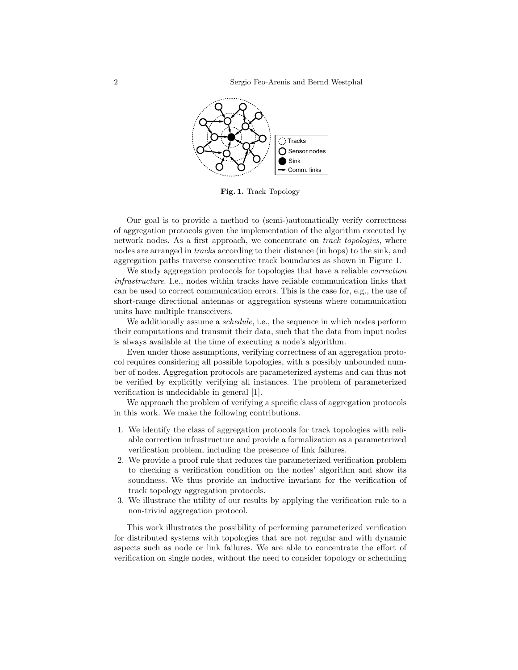

Fig. 1. Track Topology

Our goal is to provide a method to (semi-)automatically verify correctness of aggregation protocols given the implementation of the algorithm executed by network nodes. As a first approach, we concentrate on track topologies, where nodes are arranged in tracks according to their distance (in hops) to the sink, and aggregation paths traverse consecutive track boundaries as shown in Figure 1.

We study aggregation protocols for topologies that have a reliable correction infrastructure. I.e., nodes within tracks have reliable communication links that can be used to correct communication errors. This is the case for, e.g., the use of short-range directional antennas or aggregation systems where communication units have multiple transceivers.

We additionally assume a *schedule*, i.e., the sequence in which nodes perform their computations and transmit their data, such that the data from input nodes is always available at the time of executing a node's algorithm.

Even under those assumptions, verifying correctness of an aggregation protocol requires considering all possible topologies, with a possibly unbounded number of nodes. Aggregation protocols are parameterized systems and can thus not be verified by explicitly verifying all instances. The problem of parameterized verification is undecidable in general [1].

We approach the problem of verifying a specific class of aggregation protocols in this work. We make the following contributions.

- 1. We identify the class of aggregation protocols for track topologies with reliable correction infrastructure and provide a formalization as a parameterized verification problem, including the presence of link failures.
- 2. We provide a proof rule that reduces the parameterized verification problem to checking a verification condition on the nodes' algorithm and show its soundness. We thus provide an inductive invariant for the verification of track topology aggregation protocols.
- 3. We illustrate the utility of our results by applying the verification rule to a non-trivial aggregation protocol.

This work illustrates the possibility of performing parameterized verification for distributed systems with topologies that are not regular and with dynamic aspects such as node or link failures. We are able to concentrate the effort of verification on single nodes, without the need to consider topology or scheduling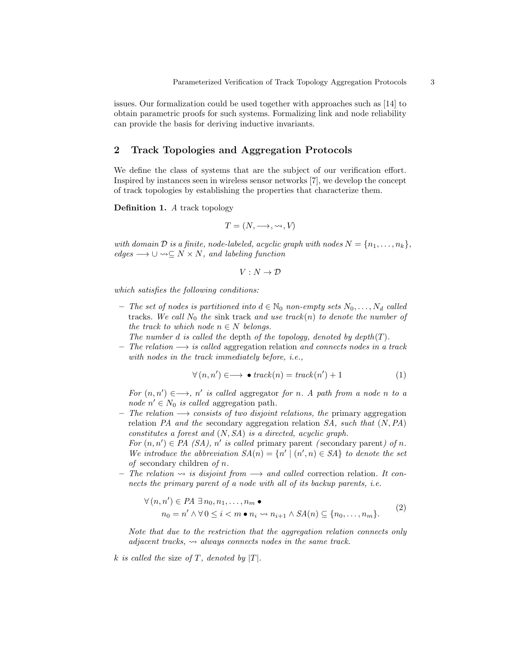issues. Our formalization could be used together with approaches such as [14] to obtain parametric proofs for such systems. Formalizing link and node reliability can provide the basis for deriving inductive invariants.

### 2 Track Topologies and Aggregation Protocols

We define the class of systems that are the subject of our verification effort. Inspired by instances seen in wireless sensor networks [7], we develop the concept of track topologies by establishing the properties that characterize them.

Definition 1. A track topology

$$
T = (N, \longrightarrow, \leadsto, V)
$$

with domain D is a finite, node-labeled, acyclic graph with nodes  $N = \{n_1, \ldots, n_k\}$ ,  $edges \longrightarrow \cup \leadsto \subseteq N \times N$ , and labeling function

$$
V: N \to \mathcal{D}
$$

which satisfies the following conditions:

- The set of nodes is partitioned into  $d \in \mathbb{N}_0$  non-empty sets  $N_0, \ldots, N_d$  called tracks. We call  $N_0$  the sink track and use track(n) to denote the number of the track to which node  $n \in N$  belongs.
	- The number d is called the depth of the topology, denoted by  $depth(T)$ .
- $−$  The relation  $→$  is called aggregation relation and connects nodes in a track with nodes in the track immediately before, *i.e.*,

$$
\forall (n, n') \in \longrightarrow \bullet \, track(n) = track(n') + 1 \tag{1}
$$

For  $(n, n') \in \longrightarrow$ , n' is called aggregator for n. A path from a node n to a node  $n' \in N_0$  is called aggregation path.

- $− The relation → consists of two disjoint relations, the primary aggregation$ relation  $PA$  and the secondary aggregation relation  $SA$ , such that  $(N, PA)$ constitutes a forest and (N, SA) is a directed, acyclic graph.
	- For  $(n, n') \in PA$  (SA), n' is called primary parent (secondary parent) of n. We introduce the abbreviation  $SA(n) = \{n' \mid (n', n) \in SA\}$  to denote the set of secondary children of n.
- The relation  $\rightsquigarrow$  is disjoint from  $\rightarrow$  and called correction relation. It connects the primary parent of a node with all of its backup parents, i.e.

$$
\forall (n, n') \in PA \ \exists n_0, n_1, \dots, n_m \ \bullet
$$
  
\n
$$
n_0 = n' \land \forall 0 \le i < m \bullet n_i \leadsto n_{i+1} \land SA(n) \subseteq \{n_0, \dots, n_m\}.
$$
\n
$$
(2)
$$

Note that due to the restriction that the aggregation relation connects only adjacent tracks,  $\rightsquigarrow$  always connects nodes in the same track.

k is called the size of T, denoted by  $|T|$ .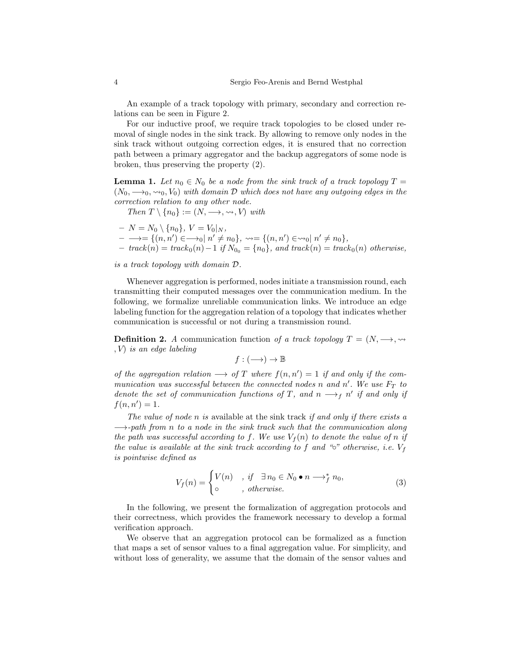An example of a track topology with primary, secondary and correction relations can be seen in Figure 2.

For our inductive proof, we require track topologies to be closed under removal of single nodes in the sink track. By allowing to remove only nodes in the sink track without outgoing correction edges, it is ensured that no correction path between a primary aggregator and the backup aggregators of some node is broken, thus preserving the property (2).

**Lemma 1.** Let  $n_0 \in N_0$  be a node from the sink track of a track topology  $T =$  $(N_0, \longrightarrow_0, \rightsquigarrow_0, V_0)$  with domain D which does not have any outgoing edges in the correction relation to any other node.

Then  $T \setminus \{n_0\} := (N, \longrightarrow, \leadsto, V)$  with

 $- N = N_0 \setminus \{n_0\}, V = V_0|_N,$ - →= { $(n, n') \in \longrightarrow_{0} | n' \neq n_{0}$ }, →= { $(n, n') \in \longrightarrow_{0} | n' \neq n_{0}$ },  $-$  track(n) = track<sub>0</sub>(n) − 1 if  $N_{0<sub>0</sub>}$  = {n<sub>0</sub>}, and track(n) = track<sub>0</sub>(n) otherwise,

is a track topology with domain D.

Whenever aggregation is performed, nodes initiate a transmission round, each transmitting their computed messages over the communication medium. In the following, we formalize unreliable communication links. We introduce an edge labeling function for the aggregation relation of a topology that indicates whether communication is successful or not during a transmission round.

**Definition 2.** A communication function of a track topology  $T = (N, \rightarrow, \rightarrow)$ , V) is an edge labeling

$$
f: (\longrightarrow) \to \mathbb{B}
$$

of the aggregation relation  $\longrightarrow$  of T where  $f(n,n') = 1$  if and only if the communication was successful between the connected nodes n and  $n'$ . We use  $F_T$  to denote the set of communication functions of T, and  $n \longrightarrow_f n'$  if and only if  $f(n, n') = 1.$ 

The value of node n is available at the sink track if and only if there exists a  $\rightarrow$ -path from n to a node in the sink track such that the communication along the path was successful according to f. We use  $V_f(n)$  to denote the value of n if the value is available at the sink track according to f and "◦" otherwise, i.e.  $V_f$ is pointwise defined as

$$
V_f(n) = \begin{cases} V(n) & , \text{ if } \exists n_0 \in N_0 \bullet n \longrightarrow_f^* n_0, \\ \circ & , \text{ otherwise.} \end{cases} \tag{3}
$$

In the following, we present the formalization of aggregation protocols and their correctness, which provides the framework necessary to develop a formal verification approach.

We observe that an aggregation protocol can be formalized as a function that maps a set of sensor values to a final aggregation value. For simplicity, and without loss of generality, we assume that the domain of the sensor values and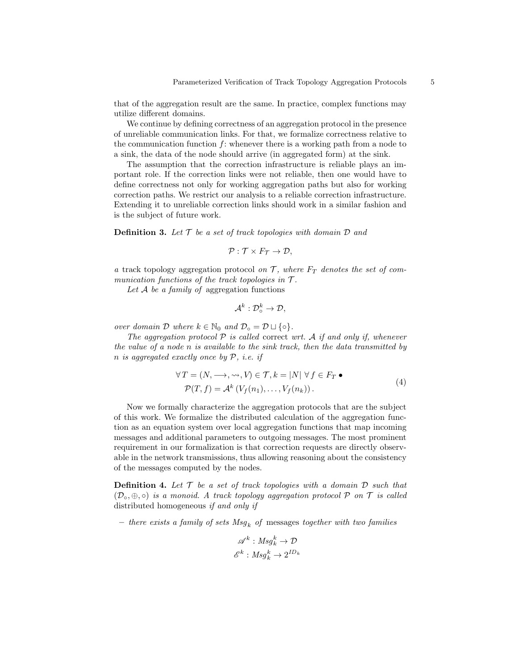that of the aggregation result are the same. In practice, complex functions may utilize different domains.

We continue by defining correctness of an aggregation protocol in the presence of unreliable communication links. For that, we formalize correctness relative to the communication function  $f$ : whenever there is a working path from a node to a sink, the data of the node should arrive (in aggregated form) at the sink.

The assumption that the correction infrastructure is reliable plays an important role. If the correction links were not reliable, then one would have to define correctness not only for working aggregation paths but also for working correction paths. We restrict our analysis to a reliable correction infrastructure. Extending it to unreliable correction links should work in a similar fashion and is the subject of future work.

**Definition 3.** Let  $\mathcal T$  be a set of track topologies with domain  $\mathcal D$  and

$$
\mathcal{P}:\mathcal{T}\times F_{\mathcal{T}}\to\mathcal{D},
$$

a track topology aggregation protocol on  $T$ , where  $F_T$  denotes the set of communication functions of the track topologies in  $\mathcal{T}$ .

Let  $A$  be a family of aggregation functions

$$
\mathcal{A}^k:\mathcal{D}_\circ^k\to\mathcal{D},
$$

over domain  $\mathcal D$  where  $k \in \mathbb N_0$  and  $\mathcal D_\circ = \mathcal D \sqcup \{\circ\}.$ 

The aggregation protocol  $P$  is called correct wrt. A if and only if, whenever the value of a node n is available to the sink track, then the data transmitted by n is aggregated exactly once by  $P$ , *i.e.* if

$$
\forall T = (N, \longrightarrow, \leadsto, V) \in \mathcal{T}, k = |N| \forall f \in F_T \bullet
$$
  

$$
\mathcal{P}(T, f) = \mathcal{A}^k \left( V_f(n_1), \dots, V_f(n_k) \right). \tag{4}
$$

Now we formally characterize the aggregation protocols that are the subject of this work. We formalize the distributed calculation of the aggregation function as an equation system over local aggregation functions that map incoming messages and additional parameters to outgoing messages. The most prominent requirement in our formalization is that correction requests are directly observable in the network transmissions, thus allowing reasoning about the consistency of the messages computed by the nodes.

**Definition 4.** Let  $\mathcal{T}$  be a set of track topologies with a domain  $\mathcal{D}$  such that  $(\mathcal{D}_{\circ}, \oplus, \circ)$  is a monoid. A track topology aggregation protocol P on T is called distributed homogeneous if and only if

– there exists a family of sets  $Msg_k$  of messages together with two families

$$
\mathscr{A}^k : Msg_k^k \to \mathcal{D}
$$

$$
\mathscr{E}^k : Msg_k^k \to 2^{ID_k}
$$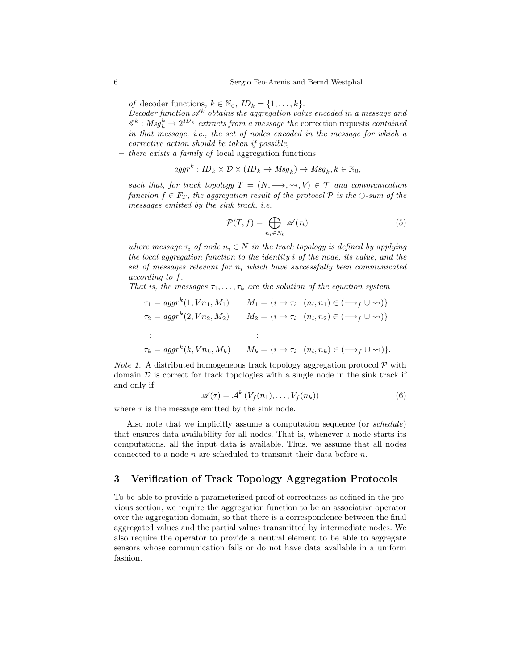of decoder functions,  $k \in \mathbb{N}_0$ ,  $ID_k = \{1, \ldots, k\}.$ 

Decoder function  $\mathscr{A}^k$  obtains the aggregation value encoded in a message and  $\mathscr{E}^k: Msg^k_k \to 2^{ID_k}$  extracts from a message the correction requests contained in that message, i.e., the set of nodes encoded in the message for which a corrective action should be taken if possible,

– there exists a family of local aggregation functions

$$
aggr^k: ID_k \times \mathcal{D} \times (ID_k \to Msg_k) \to Msg_k, k \in \mathbb{N}_0,
$$

such that, for track topology  $T = (N, \longrightarrow, \rightsquigarrow, V) \in \mathcal{T}$  and communication function  $f \in F_T$ , the aggregation result of the protocol  $P$  is the  $\oplus$ -sum of the messages emitted by the sink track, i.e.

$$
\mathcal{P}(T,f) = \bigoplus_{n_i \in N_0} \mathscr{A}(\tau_i)
$$
\n(5)

where message  $\tau_i$  of node  $n_i \in N$  in the track topology is defined by applying the local aggregation function to the identity i of the node, its value, and the set of messages relevant for  $n_i$  which have successfully been communicated according to f.

That is, the messages  $\tau_1, \ldots, \tau_k$  are the solution of the equation system

$$
\tau_1 = aggr^k(1, Vn_1, M_1) \qquad M_1 = \{i \mapsto \tau_i \mid (n_i, n_1) \in (-\rightarrow f \cup \leadsto)\}
$$
  
\n
$$
\tau_2 = aggr^k(2, Vn_2, M_2) \qquad M_2 = \{i \mapsto \tau_i \mid (n_i, n_2) \in (-\rightarrow f \cup \leadsto)\}
$$
  
\n
$$
\vdots \qquad \qquad \vdots
$$
  
\n
$$
\tau_k = aggr^k(k, Vn_k, M_k) \qquad M_k = \{i \mapsto \tau_i \mid (n_i, n_k) \in (-\rightarrow f \cup \leadsto)\}.
$$

*Note 1.* A distributed homogeneous track topology aggregation protocol  $\mathcal{P}$  with domain  $D$  is correct for track topologies with a single node in the sink track if and only if

$$
\mathscr{A}(\tau) = \mathcal{A}^k \left( V_f(n_1), \dots, V_f(n_k) \right) \tag{6}
$$

where  $\tau$  is the message emitted by the sink node.

Also note that we implicitly assume a computation sequence (or *schedule*) that ensures data availability for all nodes. That is, whenever a node starts its computations, all the input data is available. Thus, we assume that all nodes connected to a node n are scheduled to transmit their data before n.

# 3 Verification of Track Topology Aggregation Protocols

To be able to provide a parameterized proof of correctness as defined in the previous section, we require the aggregation function to be an associative operator over the aggregation domain, so that there is a correspondence between the final aggregated values and the partial values transmitted by intermediate nodes. We also require the operator to provide a neutral element to be able to aggregate sensors whose communication fails or do not have data available in a uniform fashion.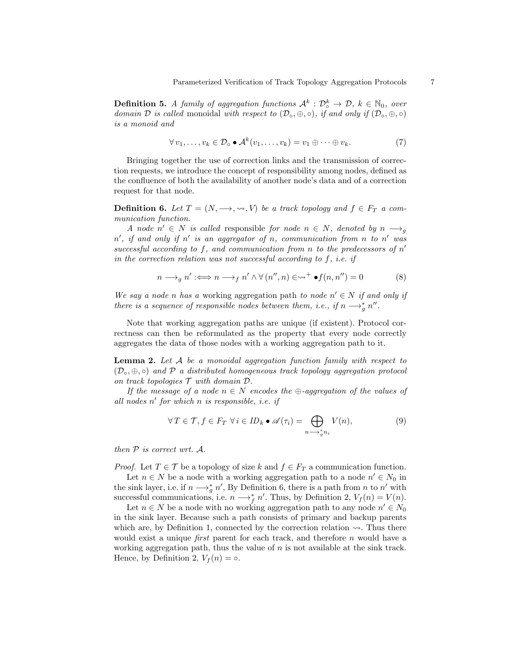**Definition 5.** A family of aggregation functions  $\mathcal{A}^k : \mathcal{D}_\circ^k \to \mathcal{D}$ ,  $k \in \mathbb{N}_0$ , over domain D is called monoidal with respect to  $(\mathcal{D}_{\circ}, \oplus, \circ)$ , if and only if  $(\mathcal{D}_{\circ}, \oplus, \circ)$ is a monoid and

$$
\forall v_1, \dots, v_k \in \mathcal{D}_\circ \bullet \mathcal{A}^k(v_1, \dots, v_k) = v_1 \oplus \dots \oplus v_k. \tag{7}
$$

Bringing together the use of correction links and the transmission of correction requests, we introduce the concept of responsibility among nodes, defined as the confluence of both the availability of another node's data and of a correction request for that node.

**Definition 6.** Let  $T = (N, \rightarrow, \rightsquigarrow, V)$  be a track topology and  $f \in F_T$  a communication function.

A node  $n' \in N$  is called responsible for node  $n \in N$ , denoted by  $n \longrightarrow_g$  $n'$ , if and only if  $n'$  is an aggregator of n, communication from n to n' was successful according to f, and communication from n to the predecessors of  $n'$ in the correction relation was not successful according to f, i.e. if

$$
n \longrightarrow_{g} n' : \iff n \longrightarrow_{f} n' \land \forall (n'',n) \in \rightsquigarrow^{+} \bullet f(n,n'') = 0
$$
 (8)

We say a node n has a working aggregation path to node  $n' \in N$  if and only if there is a sequence of responsible nodes between them, i.e., if  $n \longrightarrow_{g}^{*} n''$ .

Note that working aggregation paths are unique (if existent). Protocol correctness can then be reformulated as the property that every node correctly aggregates the data of those nodes with a working aggregation path to it.

**Lemma 2.** Let  $A$  be a monoidal aggregation function family with respect to  $(\mathcal{D}_{\circ}, \oplus, \circ)$  and P a distributed homogeneous track topology aggregation protocol on track topologies  $\mathcal T$  with domain  $\mathcal D$ .

If the message of a node  $n \in N$  encodes the  $\bigoplus$ -aggregation of the values of all nodes  $n'$  for which  $n$  is responsible, i.e. if

$$
\forall T \in \mathcal{T}, f \in F_T \,\,\forall \, i \in ID_k \bullet \mathscr{A}(\tau_i) = \bigoplus_{n \longrightarrow_{g}^{*} n_i} V(n),\tag{9}
$$

then P is correct wrt. A.

*Proof.* Let  $T \in \mathcal{T}$  be a topology of size k and  $f \in F_T$  a communication function.

Let  $n \in N$  be a node with a working aggregation path to a node  $n' \in N_0$  in the sink layer, i.e. if  $n \longrightarrow_{g}^{*} n'$ , By Definition 6, there is a path from n to n' with successful communications, i.e.  $n \longrightarrow_f^* n'$ . Thus, by Definition 2,  $V_f(n) = V(n)$ .

Let  $n \in N$  be a node with no working aggregation path to any node  $n' \in N_0$ in the sink layer. Because such a path consists of primary and backup parents which are, by Definition 1, connected by the correction relation  $\rightsquigarrow$ . Thus there would exist a unique *first* parent for each track, and therefore n would have a working aggregation path, thus the value of  $n$  is not available at the sink track. Hence, by Definition 2,  $V_f(n) = \circ$ .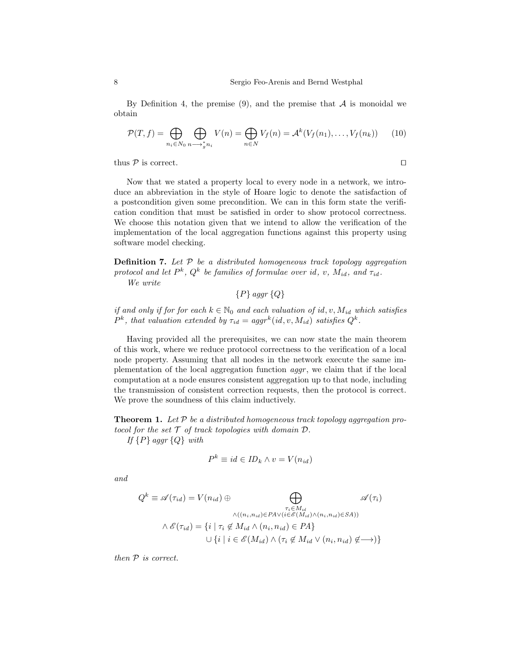By Definition 4, the premise (9), and the premise that  $A$  is monoidal we obtain

$$
\mathcal{P}(T,f) = \bigoplus_{n_i \in N_0} \bigoplus_{n \to \frac{\ast}{g}n_i} V(n) = \bigoplus_{n \in N} V_f(n) = \mathcal{A}^k(V_f(n_1), \dots, V_f(n_k)) \tag{10}
$$

thus  $P$  is correct.  $\Box$ 

Now that we stated a property local to every node in a network, we introduce an abbreviation in the style of Hoare logic to denote the satisfaction of a postcondition given some precondition. We can in this form state the verification condition that must be satisfied in order to show protocol correctness. We choose this notation given that we intend to allow the verification of the implementation of the local aggregation functions against this property using software model checking.

**Definition 7.** Let  $P$  be a distributed homogeneous track topology aggregation protocol and let  $P^k$ ,  $Q^k$  be families of formulae over id, v,  $M_{id}$ , and  $\tau_{id}$ . We write

 ${P}$  aggr  ${Q}$ 

if and only if for for each  $k \in \mathbb{N}_0$  and each valuation of id, v,  $M_{id}$  which satisfies  $P^k$ , that valuation extended by  $\tau_{id} = aggr^k(id, v, M_{id})$  satisfies  $Q^k$ .

Having provided all the prerequisites, we can now state the main theorem of this work, where we reduce protocol correctness to the verification of a local node property. Assuming that all nodes in the network execute the same implementation of the local aggregation function aggr , we claim that if the local computation at a node ensures consistent aggregation up to that node, including the transmission of consistent correction requests, then the protocol is correct. We prove the soundness of this claim inductively.

**Theorem 1.** Let  $P$  be a distributed homogeneous track topology aggregation protocol for the set  $T$  of track topologies with domain  $D$ .

If  $\{P\}$  aggr $\{Q\}$  with

$$
P^k \equiv id \in ID_k \land v = V(n_{id})
$$

and

$$
Q^{k} \equiv \mathscr{A}(\tau_{id}) = V(n_{id}) \oplus \bigoplus_{\substack{\tau_{i} \in M_{id} \\ \wedge ((n_{i}, n_{id}) \in PA \vee (i \in \mathscr{E}(M_{id}) \wedge (n_{i}, n_{id}) \in SA))}} \mathscr{A}(\tau_{i})
$$

$$
\wedge \mathscr{E}(\tau_{id}) = \{i \mid \tau_{i} \notin M_{id} \wedge (n_{i}, n_{id}) \in PA\}
$$

$$
\cup \{i \mid i \in \mathscr{E}(M_{id}) \wedge (\tau_{i} \notin M_{id} \vee (n_{i}, n_{id}) \notin \longrightarrow)\}
$$

then P is correct.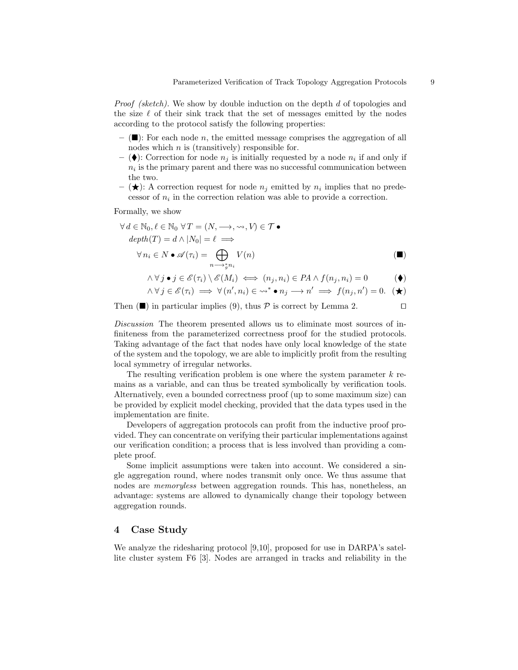Proof (sketch). We show by double induction on the depth d of topologies and the size  $\ell$  of their sink track that the set of messages emitted by the nodes according to the protocol satisfy the following properties:

- $-$  ( $\blacksquare$ ): For each node n, the emitted message comprises the aggregation of all nodes which  $n$  is (transitively) responsible for.
- $-$  ( $\bullet$ ): Correction for node  $n_j$  is initially requested by a node  $n_i$  if and only if  $n_i$  is the primary parent and there was no successful communication between the two.
- $-$  ( $\star$ ): A correction request for node  $n_j$  emitted by  $n_i$  implies that no predecessor of  $n_i$  in the correction relation was able to provide a correction.

Formally, we show

$$
\forall d \in \mathbb{N}_0, \ell \in \mathbb{N}_0 \ \forall T = (N, \longrightarrow, \leadsto, V) \in \mathcal{T} \bullet
$$
  
\n
$$
depth(T) = d \land |N_0| = \ell \implies
$$
  
\n
$$
\forall n_i \in N \bullet \mathscr{A}(\tau_i) = \bigoplus_{n \longrightarrow_{g}^{*} n_i} V(n)
$$
  
\n
$$
\land \forall j \bullet j \in \mathscr{E}(\tau_i) \setminus \mathscr{E}(M_i) \iff (n_j, n_i) \in PA \land f(n_j, n_i) = 0
$$
 (•)

$$
\wedge \forall j \in \mathcal{E}(\tau_i) \implies \forall (n', n_i) \in \mathcal{E}^*(n_j, n_i) = 1 \land f(n_j, n_i) = 0 \quad (\blacktriangleright)
$$
  
 
$$
\wedge \forall j \in \mathcal{E}(\tau_i) \implies \forall (n', n_i) \in \sim^* \blacktriangleleft n_j \longrightarrow n' \implies f(n_j, n') = 0. \quad (\blacktriangleleft)
$$

Then  $(\blacksquare)$  in particular implies (9), thus  $P$  is correct by Lemma 2.  $\square$ 

Discussion The theorem presented allows us to eliminate most sources of infiniteness from the parameterized correctness proof for the studied protocols. Taking advantage of the fact that nodes have only local knowledge of the state of the system and the topology, we are able to implicitly profit from the resulting local symmetry of irregular networks.

The resulting verification problem is one where the system parameter  $k$  remains as a variable, and can thus be treated symbolically by verification tools. Alternatively, even a bounded correctness proof (up to some maximum size) can be provided by explicit model checking, provided that the data types used in the implementation are finite.

Developers of aggregation protocols can profit from the inductive proof provided. They can concentrate on verifying their particular implementations against our verification condition; a process that is less involved than providing a complete proof.

Some implicit assumptions were taken into account. We considered a single aggregation round, where nodes transmit only once. We thus assume that nodes are memoryless between aggregation rounds. This has, nonetheless, an advantage: systems are allowed to dynamically change their topology between aggregation rounds.

#### 4 Case Study

We analyze the ridesharing protocol [9,10], proposed for use in DARPA's satellite cluster system F6 [3]. Nodes are arranged in tracks and reliability in the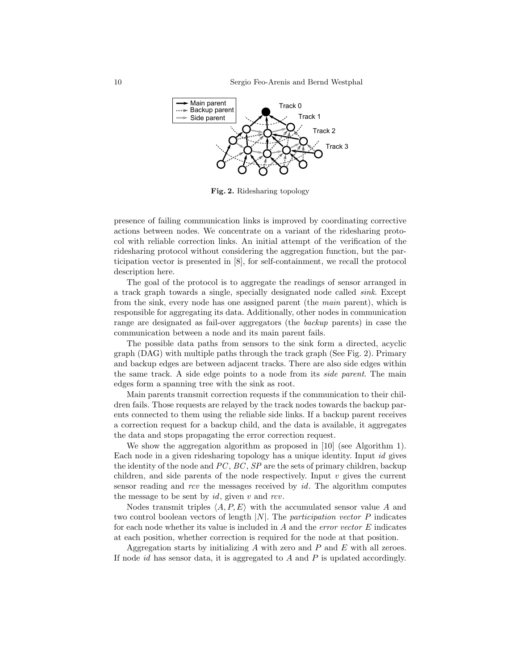

Fig. 2. Ridesharing topology

presence of failing communication links is improved by coordinating corrective actions between nodes. We concentrate on a variant of the ridesharing protocol with reliable correction links. An initial attempt of the verification of the ridesharing protocol without considering the aggregation function, but the participation vector is presented in [8], for self-containment, we recall the protocol description here.

The goal of the protocol is to aggregate the readings of sensor arranged in a track graph towards a single, specially designated node called sink. Except from the sink, every node has one assigned parent (the main parent), which is responsible for aggregating its data. Additionally, other nodes in communication range are designated as fail-over aggregators (the backup parents) in case the communication between a node and its main parent fails.

The possible data paths from sensors to the sink form a directed, acyclic graph (DAG) with multiple paths through the track graph (See Fig. 2). Primary and backup edges are between adjacent tracks. There are also side edges within the same track. A side edge points to a node from its side parent. The main edges form a spanning tree with the sink as root.

Main parents transmit correction requests if the communication to their children fails. Those requests are relayed by the track nodes towards the backup parents connected to them using the reliable side links. If a backup parent receives a correction request for a backup child, and the data is available, it aggregates the data and stops propagating the error correction request.

We show the aggregation algorithm as proposed in [10] (see Algorithm 1). Each node in a given ridesharing topology has a unique identity. Input id gives the identity of the node and PC , BC , SP are the sets of primary children, backup children, and side parents of the node respectively. Input  $v$  gives the current sensor reading and rcv the messages received by id. The algorithm computes the message to be sent by  $id$ , given  $v$  and  $rcv$ .

Nodes transmit triples  $\langle A, P, E \rangle$  with the accumulated sensor value A and two control boolean vectors of length  $|N|$ . The *participation vector*  $P$  indicates for each node whether its value is included in  $A$  and the *error vector*  $E$  indicates at each position, whether correction is required for the node at that position.

Aggregation starts by initializing  $A$  with zero and  $P$  and  $E$  with all zeroes. If node *id* has sensor data, it is aggregated to  $A$  and  $P$  is updated accordingly.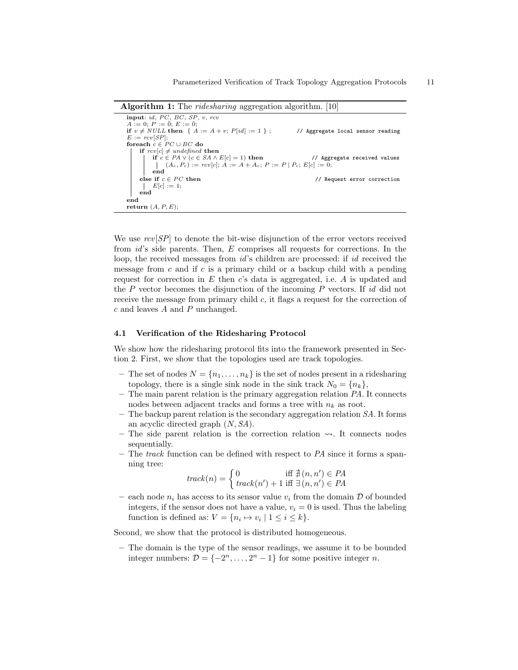Algorithm 1: The *ridesharing* aggregation algorithm. [10]

| <b>input</b> : id, PC, BC, SP, v, rcv                          |                                   |
|----------------------------------------------------------------|-----------------------------------|
| $A := 0$ ; $P := \overline{0}$ ; $E := \overline{0}$ ;         |                                   |
| if $v \neq NULL$ then $\{ A := A + v : P(id) := 1 \}$ ;        | // Aggregate local sensor reading |
| $E := rev[SP]$ ;                                               |                                   |
| foreach $c \in PC \cup BC$ do                                  |                                   |
| if $rcv[c] \neq undefined$ then                                |                                   |
| if $c \in PA \vee (c \in SA \wedge E[c] = 1)$ then             | // Aggregate received values      |
| $(A_c, P_c) := rev[c]; A := A + A_c; P := P   P_c; E[c] := 0;$ |                                   |
| end                                                            |                                   |
| else if $c \in PC$ then                                        | // Request error correction       |
| $E[c] := 1;$                                                   |                                   |
| end                                                            |                                   |
| end                                                            |                                   |
| return $(A, P, E)$ ;                                           |                                   |

We use  $rcv[SP]$  to denote the bit-wise disjunction of the error vectors received from id's side parents. Then, E comprises all requests for corrections. In the loop, the received messages from *id*'s children are processed: if *id* received the message from  $c$  and if  $c$  is a primary child or a backup child with a pending request for correction in  $E$  then  $c$ 's data is aggregated, i.e.  $A$  is updated and the  $P$  vector becomes the disjunction of the incoming  $P$  vectors. If id did not receive the message from primary child  $c$ , it flags a request for the correction of c and leaves A and P unchanged.

### 4.1 Verification of the Ridesharing Protocol

We show how the ridesharing protocol fits into the framework presented in Section 2. First, we show that the topologies used are track topologies.

- The set of nodes  $N = \{n_1, \ldots, n_k\}$  is the set of nodes present in a ridesharing topology, there is a single sink node in the sink track  $N_0 = \{n_k\},\$
- The main parent relation is the primary aggregation relation PA. It connects nodes between adjacent tracks and forms a tree with  $n_k$  as root.
- $-$  The backup parent relation is the secondary aggregation relation  $SA$ . It forms an acyclic directed graph (N, SA).
- The side parent relation is the correction relation  $\rightsquigarrow$ . It connects nodes sequentially.
- The track function can be defined with respect to  $PA$  since it forms a spanning tree:

$$
track(n) = \begin{cases} 0 & \text{if } \nexists (n, n') \in PA \\ \ntrack(n') + 1 & \text{if } \exists (n, n') \in PA \n\end{cases}
$$

– each node  $n_i$  has access to its sensor value  $v_i$  from the domain  $\mathcal D$  of bounded integers, if the sensor does not have a value,  $v_i = 0$  is used. Thus the labeling function is defined as:  $V = \{n_i \mapsto v_i \mid 1 \le i \le k\}.$ 

Second, we show that the protocol is distributed homogeneous.

– The domain is the type of the sensor readings, we assume it to be bounded integer numbers:  $\mathcal{D} = \{-2^n, \ldots, 2^n - 1\}$  for some positive integer *n*.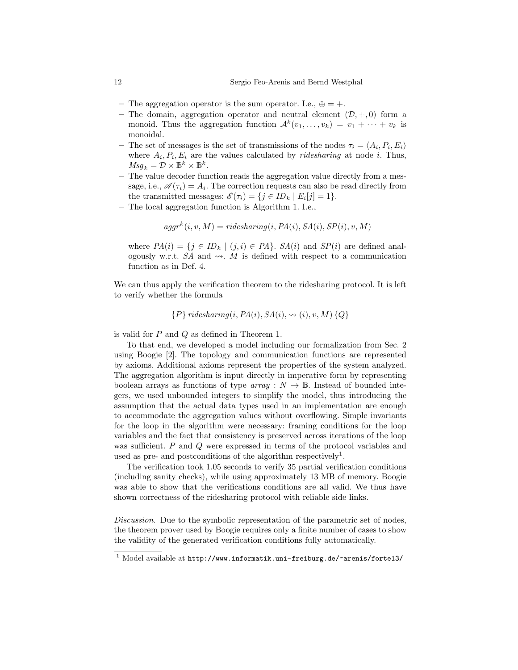#### 12 Sergio Feo-Arenis and Bernd Westphal

- The aggregation operator is the sum operator. I.e.,  $\oplus = +$ .
- The domain, aggregation operator and neutral element  $(\mathcal{D}, +, 0)$  form a monoid. Thus the aggregation function  $\mathcal{A}^k(v_1,\ldots,v_k) = v_1 + \cdots + v_k$  is monoidal.
- The set of messages is the set of transmissions of the nodes  $\tau_i = \langle A_i, P_i, E_i \rangle$ where  $A_i, P_i, E_i$  are the values calculated by *ridesharing* at node *i*. Thus,  $Msg_k = \mathcal{D} \times \mathbb{B}^k \times \mathbb{B}^k$ .
- The value decoder function reads the aggregation value directly from a message, i.e.,  $\mathscr{A}(\tau_i) = A_i$ . The correction requests can also be read directly from the transmitted messages:  $\mathscr{E}(\tau_i) = \{j \in ID_k \mid E_i[j] = 1\}.$
- The local aggregation function is Algorithm 1. I.e.,

$$
aggr^k(i, v, M) = ridesharing(i, PA(i), SA(i), SP(i), v, M)
$$

where  $PA(i) = \{j \in ID_k \mid (j,i) \in PA\}$ .  $SA(i)$  and  $SP(i)$  are defined analogously w.r.t. SA and  $\rightsquigarrow$ . M is defined with respect to a communication function as in Def. 4.

We can thus apply the verification theorem to the ridesharing protocol. It is left to verify whether the formula

$$
{P}{}\\rightleftaring(i, PA(i), SA(i), \rightsquigarrow (i), v, M) {Q}
$$

is valid for P and Q as defined in Theorem 1.

To that end, we developed a model including our formalization from Sec. 2 using Boogie [2]. The topology and communication functions are represented by axioms. Additional axioms represent the properties of the system analyzed. The aggregation algorithm is input directly in imperative form by representing boolean arrays as functions of type  $array: N \rightarrow \mathbb{B}$ . Instead of bounded integers, we used unbounded integers to simplify the model, thus introducing the assumption that the actual data types used in an implementation are enough to accommodate the aggregation values without overflowing. Simple invariants for the loop in the algorithm were necessary: framing conditions for the loop variables and the fact that consistency is preserved across iterations of the loop was sufficient. P and Q were expressed in terms of the protocol variables and used as pre- and postconditions of the algorithm respectively<sup>1</sup>.

The verification took 1.05 seconds to verify 35 partial verification conditions (including sanity checks), while using approximately 13 MB of memory. Boogie was able to show that the verifications conditions are all valid. We thus have shown correctness of the ridesharing protocol with reliable side links.

Discussion. Due to the symbolic representation of the parametric set of nodes, the theorem prover used by Boogie requires only a finite number of cases to show the validity of the generated verification conditions fully automatically.

<sup>&</sup>lt;sup>1</sup> Model available at http://www.informatik.uni-freiburg.de/~arenis/forte13/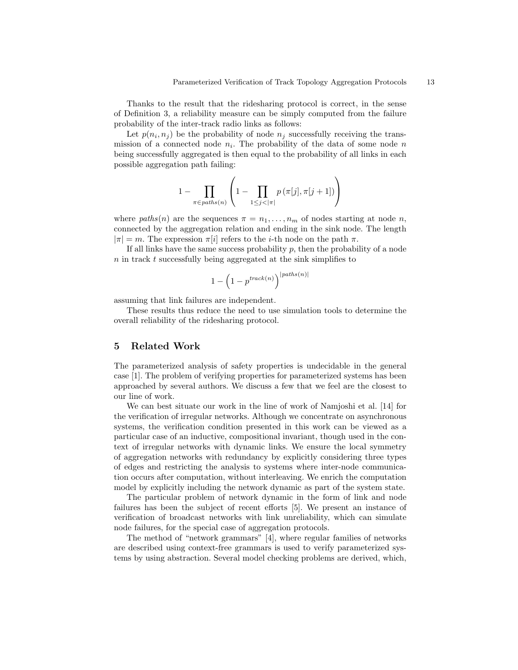Thanks to the result that the ridesharing protocol is correct, in the sense of Definition 3, a reliability measure can be simply computed from the failure probability of the inter-track radio links as follows:

Let  $p(n_i, n_j)$  be the probability of node  $n_j$  successfully receiving the transmission of a connected node  $n_i$ . The probability of the data of some node n being successfully aggregated is then equal to the probability of all links in each possible aggregation path failing:

$$
1 - \prod_{\pi \in paths(n)} \left( 1 - \prod_{1 \leq j < |\pi|} p\left(\pi[j], \pi[j+1]\right) \right)
$$

where  $paths(n)$  are the sequences  $\pi = n_1, \ldots, n_m$  of nodes starting at node n, connected by the aggregation relation and ending in the sink node. The length  $|\pi| = m$ . The expression  $\pi[i]$  refers to the *i*-th node on the path  $\pi$ .

If all links have the same success probability  $p$ , then the probability of a node  $n$  in track t successfully being aggregated at the sink simplifies to

$$
1 - \left(1 - p^{track(n)}\right)^{|paths(n)|}
$$

assuming that link failures are independent.

These results thus reduce the need to use simulation tools to determine the overall reliability of the ridesharing protocol.

#### 5 Related Work

The parameterized analysis of safety properties is undecidable in the general case [1]. The problem of verifying properties for parameterized systems has been approached by several authors. We discuss a few that we feel are the closest to our line of work.

We can best situate our work in the line of work of Namjoshi et al. [14] for the verification of irregular networks. Although we concentrate on asynchronous systems, the verification condition presented in this work can be viewed as a particular case of an inductive, compositional invariant, though used in the context of irregular networks with dynamic links. We ensure the local symmetry of aggregation networks with redundancy by explicitly considering three types of edges and restricting the analysis to systems where inter-node communication occurs after computation, without interleaving. We enrich the computation model by explicitly including the network dynamic as part of the system state.

The particular problem of network dynamic in the form of link and node failures has been the subject of recent efforts [5]. We present an instance of verification of broadcast networks with link unreliability, which can simulate node failures, for the special case of aggregation protocols.

The method of "network grammars" [4], where regular families of networks are described using context-free grammars is used to verify parameterized systems by using abstraction. Several model checking problems are derived, which,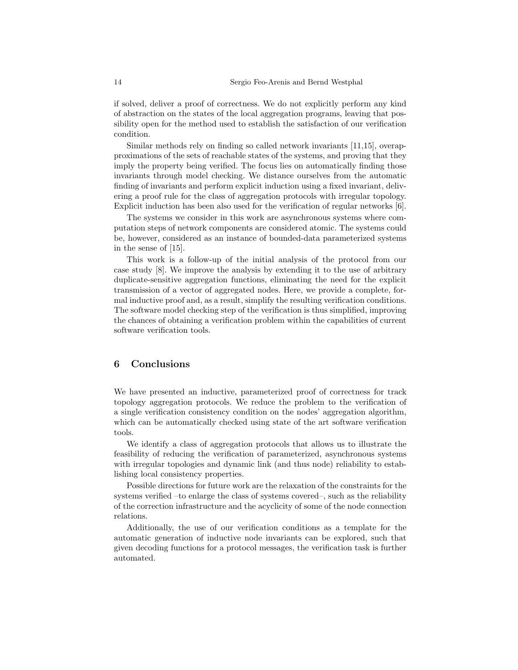if solved, deliver a proof of correctness. We do not explicitly perform any kind of abstraction on the states of the local aggregation programs, leaving that possibility open for the method used to establish the satisfaction of our verification condition.

Similar methods rely on finding so called network invariants [11,15], overapproximations of the sets of reachable states of the systems, and proving that they imply the property being verified. The focus lies on automatically finding those invariants through model checking. We distance ourselves from the automatic finding of invariants and perform explicit induction using a fixed invariant, delivering a proof rule for the class of aggregation protocols with irregular topology. Explicit induction has been also used for the verification of regular networks [6].

The systems we consider in this work are asynchronous systems where computation steps of network components are considered atomic. The systems could be, however, considered as an instance of bounded-data parameterized systems in the sense of [15].

This work is a follow-up of the initial analysis of the protocol from our case study [8]. We improve the analysis by extending it to the use of arbitrary duplicate-sensitive aggregation functions, eliminating the need for the explicit transmission of a vector of aggregated nodes. Here, we provide a complete, formal inductive proof and, as a result, simplify the resulting verification conditions. The software model checking step of the verification is thus simplified, improving the chances of obtaining a verification problem within the capabilities of current software verification tools.

#### 6 Conclusions

We have presented an inductive, parameterized proof of correctness for track topology aggregation protocols. We reduce the problem to the verification of a single verification consistency condition on the nodes' aggregation algorithm, which can be automatically checked using state of the art software verification tools.

We identify a class of aggregation protocols that allows us to illustrate the feasibility of reducing the verification of parameterized, asynchronous systems with irregular topologies and dynamic link (and thus node) reliability to establishing local consistency properties.

Possible directions for future work are the relaxation of the constraints for the systems verified –to enlarge the class of systems covered–, such as the reliability of the correction infrastructure and the acyclicity of some of the node connection relations.

Additionally, the use of our verification conditions as a template for the automatic generation of inductive node invariants can be explored, such that given decoding functions for a protocol messages, the verification task is further automated.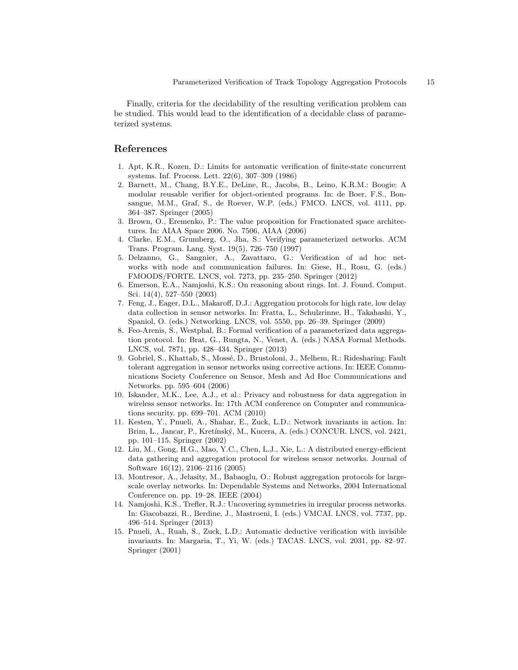Finally, criteria for the decidability of the resulting verification problem can be studied. This would lead to the identification of a decidable class of parameterized systems.

# References

- 1. Apt, K.R., Kozen, D.: Limits for automatic verification of finite-state concurrent systems. Inf. Process. Lett. 22(6), 307–309 (1986)
- 2. Barnett, M., Chang, B.Y.E., DeLine, R., Jacobs, B., Leino, K.R.M.: Boogie: A modular reusable verifier for object-oriented programs. In: de Boer, F.S., Bonsangue, M.M., Graf, S., de Roever, W.P. (eds.) FMCO. LNCS, vol. 4111, pp. 364–387. Springer (2005)
- 3. Brown, O., Eremenko, P.: The value proposition for Fractionated space architectures. In: AIAA Space 2006. No. 7506, AIAA (2006)
- 4. Clarke, E.M., Grumberg, O., Jha, S.: Verifying parameterized networks. ACM Trans. Program. Lang. Syst. 19(5), 726–750 (1997)
- 5. Delzanno, G., Sangnier, A., Zavattaro, G.: Verification of ad hoc networks with node and communication failures. In: Giese, H., Rosu, G. (eds.) FMOODS/FORTE. LNCS, vol. 7273, pp. 235–250. Springer (2012)
- 6. Emerson, E.A., Namjoshi, K.S.: On reasoning about rings. Int. J. Found. Comput. Sci. 14(4), 527–550 (2003)
- 7. Feng, J., Eager, D.L., Makaroff, D.J.: Aggregation protocols for high rate, low delay data collection in sensor networks. In: Fratta, L., Schulzrinne, H., Takahashi, Y., Spaniol, O. (eds.) Networking. LNCS, vol. 5550, pp. 26–39. Springer (2009)
- 8. Feo-Arenis, S., Westphal, B.: Formal verification of a parameterized data aggregation protocol. In: Brat, G., Rungta, N., Venet, A. (eds.) NASA Formal Methods. LNCS, vol. 7871, pp. 428–434. Springer (2013)
- 9. Gobriel, S., Khattab, S., Mossé, D., Brustoloni, J., Melhem, R.: Ridesharing: Fault tolerant aggregation in sensor networks using corrective actions. In: IEEE Communications Society Conference on Sensor, Mesh and Ad Hoc Communications and Networks. pp. 595–604 (2006)
- 10. Iskander, M.K., Lee, A.J., et al.: Privacy and robustness for data aggregation in wireless sensor networks. In: 17th ACM conference on Computer and communications security. pp. 699–701. ACM (2010)
- 11. Kesten, Y., Pnueli, A., Shahar, E., Zuck, L.D.: Network invariants in action. In: Brim, L., Jancar, P., Kretínský, M., Kucera, A. (eds.) CONCUR. LNCS, vol. 2421, pp. 101–115. Springer (2002)
- 12. Liu, M., Gong, H.G., Mao, Y.C., Chen, L.J., Xie, L.: A distributed energy-efficient data gathering and aggregation protocol for wireless sensor networks. Journal of Software 16(12), 2106–2116 (2005)
- 13. Montresor, A., Jelasity, M., Babaoglu, O.: Robust aggregation protocols for largescale overlay networks. In: Dependable Systems and Networks, 2004 International Conference on. pp. 19–28. IEEE (2004)
- 14. Namjoshi, K.S., Trefler, R.J.: Uncovering symmetries in irregular process networks. In: Giacobazzi, R., Berdine, J., Mastroeni, I. (eds.) VMCAI. LNCS, vol. 7737, pp. 496–514. Springer (2013)
- 15. Pnueli, A., Ruah, S., Zuck, L.D.: Automatic deductive verification with invisible invariants. In: Margaria, T., Yi, W. (eds.) TACAS. LNCS, vol. 2031, pp. 82–97. Springer (2001)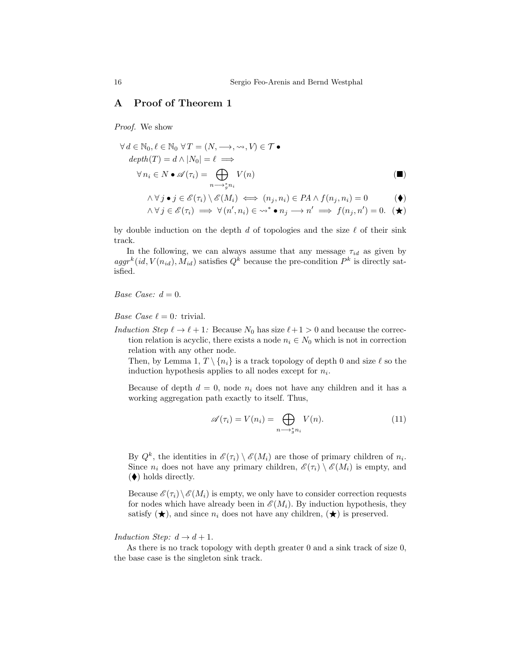# A Proof of Theorem 1

Proof. We show

∀ d ∈ N0, ` ∈ N<sup>0</sup> ∀ T = (N, −→, , V) ∈ T • depth(T) = d ∧ |N0| = ` =⇒ ∀ n<sup>i</sup> ∈ N • A (τi) = M n−→<sup>∗</sup> <sup>g</sup>n<sup>i</sup> V (n) () ∧ ∀ j • j ∈ E (τi) \ E (Mi) ⇐⇒ (n<sup>j</sup> , ni) ∈ PA ∧ f(n<sup>j</sup> , ni) = 0 () 0

$$
\wedge \forall j \in \mathscr{E}(\tau_i) \implies \forall (n', n_i) \in \mathbb{R}^* \bullet n_j \longrightarrow n' \implies f(n_j, n') = 0. \quad (\bigstar)
$$

by double induction on the depth d of topologies and the size  $\ell$  of their sink track.

In the following, we can always assume that any message  $\tau_{id}$  as given by  $aggr^k(id, V(n_{id}), M_{id})$  satisfies  $Q^k$  because the pre-condition  $P^k$  is directly satisfied.

Base Case:  $d = 0$ .

#### *Base Case*  $\ell = 0$ : trivial.

Induction Step  $\ell \to \ell + 1$ : Because  $N_0$  has size  $\ell + 1 > 0$  and because the correction relation is acyclic, there exists a node  $n_i \in N_0$  which is not in correction relation with any other node.

Then, by Lemma 1,  $T \setminus \{n_i\}$  is a track topology of depth 0 and size  $\ell$  so the induction hypothesis applies to all nodes except for  $n_i$ .

Because of depth  $d = 0$ , node  $n_i$  does not have any children and it has a working aggregation path exactly to itself. Thus,

$$
\mathscr{A}(\tau_i) = V(n_i) = \bigoplus_{n \to \frac{\ast}{g}n_i} V(n). \tag{11}
$$

By  $Q^k$ , the identities in  $\mathscr{E}(\tau_i) \setminus \mathscr{E}(M_i)$  are those of primary children of  $n_i$ . Since  $n_i$  does not have any primary children,  $\mathscr{E}(\tau_i) \setminus \mathscr{E}(M_i)$  is empty, and  $\left(\blacklozenge\right)$  holds directly.

Because  $\mathscr{E}(\tau_i)\backslash\mathscr{E}(M_i)$  is empty, we only have to consider correction requests for nodes which have already been in  $\mathscr{E}(M_i)$ . By induction hypothesis, they satisfy  $(\star)$ , and since  $n_i$  does not have any children,  $(\star)$  is preserved.

#### Induction Step:  $d \rightarrow d+1$ .

As there is no track topology with depth greater 0 and a sink track of size 0, the base case is the singleton sink track.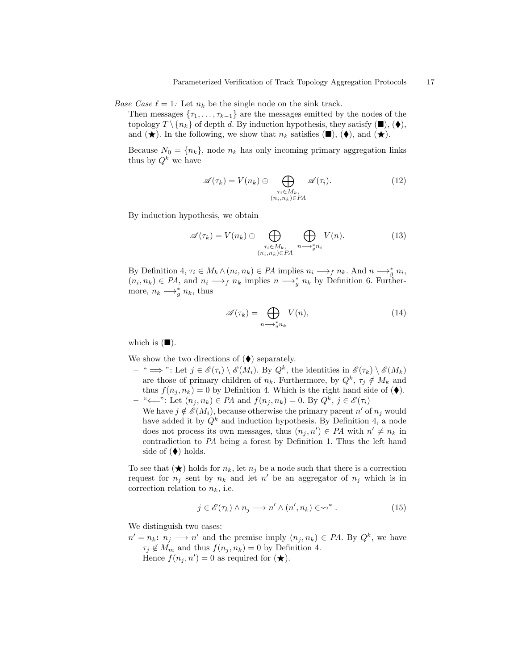*Base Case*  $\ell = 1$ : Let  $n_k$  be the single node on the sink track.

Then messages  $\{\tau_1, \ldots, \tau_{k-1}\}\$  are the messages emitted by the nodes of the topology  $T \setminus \{n_k\}$  of depth d. By induction hypothesis, they satisfy  $(\blacksquare)$ ,  $(\blacklozenge)$ , and  $(\star)$ . In the following, we show that  $n_k$  satisfies  $(\blacksquare)$ ,  $(\blacklozenge)$ , and  $(\star)$ .

Because  $N_0 = \{n_k\}$ , node  $n_k$  has only incoming primary aggregation links thus by  $Q^k$  we have

$$
\mathscr{A}(\tau_k) = V(n_k) \oplus \bigoplus_{\substack{\tau_i \in M_k, \\ (n_i, n_k) \in PA}} \mathscr{A}(\tau_i). \tag{12}
$$

By induction hypothesis, we obtain

$$
\mathscr{A}(\tau_k) = V(n_k) \oplus \bigoplus_{\substack{\tau_i \in M_k, \\ (n_i, n_k) \in PA}} \bigoplus_{n \longrightarrow_{g}^{*} n_i} V(n). \tag{13}
$$

By Definition 4,  $\tau_i \in M_k \wedge (n_i, n_k) \in PA$  implies  $n_i \longrightarrow_f n_k$ . And  $n \longrightarrow_g^* n_i$ ,  $(n_i, n_k) \in PA$ , and  $n_i \longrightarrow_f n_k$  implies  $n \longrightarrow_g^n n_k$  by Definition 6. Furthermore,  $n_k \longrightarrow_g^* n_k$ , thus

$$
\mathscr{A}(\tau_k) = \bigoplus_{n \longrightarrow_{g}^{*} n_k} V(n), \tag{14}
$$

which is  $(\blacksquare)$ .

We show the two directions of  $(\blacklozenge)$  separately.

- $-$  "  $\implies$ ": Let  $j \in \mathscr{E}(\tau_i) \setminus \mathscr{E}(M_i)$ . By  $Q^k$ , the identities in  $\mathscr{E}(\tau_k) \setminus \mathscr{E}(M_k)$ are those of primary children of  $n_k$ . Furthermore, by  $Q^k$ ,  $\tau_j \notin M_k$  and thus  $f(n_i, n_k) = 0$  by Definition 4. Which is the right hand side of  $(\blacklozenge)$ .  $-$  " $\Longleftarrow$ ": Let  $(n_j, n_k) \in PA$  and  $f(n_j, n_k) = 0$ . By  $Q^k$ ,  $j \in \mathscr{E}(\tau_i)$
- We have  $j \notin \mathscr{E}(M_i)$ , because otherwise the primary parent n' of  $n_j$  would have added it by  $Q^k$  and induction hypothesis. By Definition 4, a node does not process its own messages, thus  $(n_j, n') \in PA$  with  $n' \neq n_k$  in contradiction to PA being a forest by Definition 1. Thus the left hand side of  $(\blacklozenge)$  holds.

To see that  $(\star)$  holds for  $n_k$ , let  $n_j$  be a node such that there is a correction request for  $n_j$  sent by  $n_k$  and let  $n'$  be an aggregator of  $n_j$  which is in correction relation to  $n_k$ , i.e.

$$
j \in \mathscr{E}(\tau_k) \land n_j \longrightarrow n' \land (n', n_k) \in \leadsto^*.
$$
 (15)

We distinguish two cases:

- $n' = n_k$ :  $n_j \longrightarrow n'$  and the premise imply  $(n_j, n_k) \in PA$ . By  $Q^k$ , we have  $\tau_j \notin M_m$  and thus  $f(n_j, n_k) = 0$  by Definition 4.
	- Hence  $f(n_j, n') = 0$  as required for  $(\star)$ .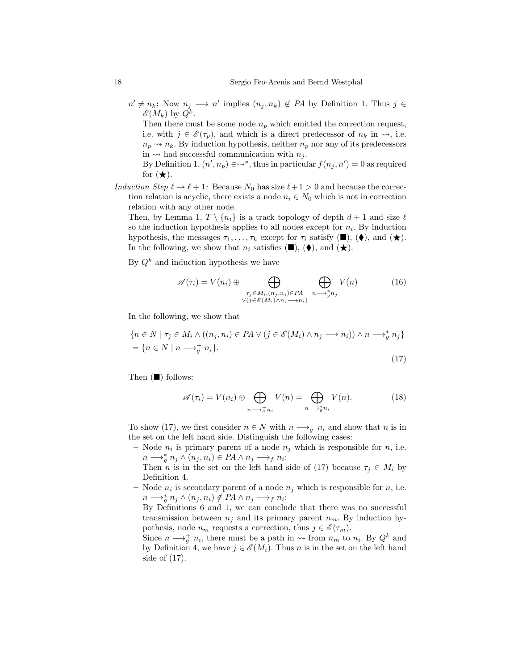$n' \neq n_k$ : Now  $n_j \longrightarrow n'$  implies  $(n_j, n_k) \notin PA$  by Definition 1. Thus  $j \in$  $\mathscr{E}(M_k)$  by  $Q^k$ .

Then there must be some node  $n_p$  which emitted the correction request, i.e. with  $j \in \mathscr{E}(\tau_p)$ , and which is a direct predecessor of  $n_k$  in  $\rightsquigarrow$ , i.e.  $n_p \rightarrow n_k$ . By induction hypothesis, neither  $n_p$  nor any of its predecessors in  $\rightsquigarrow$  had successful communication with  $n_j$ .

By Definition 1,  $(n', n_p) \in \leadsto^*$ , thus in particular  $f(n_j, n') = 0$  as required for  $(\bigstar)$ .

Induction Step  $\ell \to \ell + 1$ : Because  $N_0$  has size  $\ell + 1 > 0$  and because the correction relation is acyclic, there exists a node  $n_i \in N_0$  which is not in correction relation with any other node.

Then, by Lemma 1,  $T \setminus \{n_i\}$  is a track topology of depth  $d + 1$  and size  $\ell$ so the induction hypothesis applies to all nodes except for  $n_i$ . By induction hypothesis, the messages  $\tau_1, \ldots, \tau_k$  except for  $\tau_i$  satisfy  $(\blacksquare)$ ,  $(\blacklozenge)$ , and  $(\star)$ . In the following, we show that  $n_i$  satisfies  $(\blacksquare)$ ,  $(\blacklozenge)$ , and  $(\star)$ .

By  $Q^k$  and induction hypothesis we have

$$
\mathscr{A}(\tau_i) = V(n_i) \oplus \bigoplus_{\substack{\tau_j \in M_i, (n_j, n_i) \in PA \\ \vee (j \in \mathscr{E}(M_i) \wedge n_j \longrightarrow n_i)}} \bigoplus_{n \longrightarrow_{g}^{*} n_j} V(n)
$$
(16)

In the following, we show that

$$
\{n \in N \mid \tau_j \in M_i \land ((n_j, n_i) \in PA \lor (j \in \mathcal{E}(M_i) \land n_j \longrightarrow n_i)) \land n \longrightarrow_g^n n_j\}
$$
  
= 
$$
\{n \in N \mid n \longrightarrow_g^n n_i\}.
$$
 (17)

Then  $(\blacksquare)$  follows:

$$
\mathscr{A}(\tau_i) = V(n_i) \oplus \bigoplus_{n \to \frac{1}{g}n_i} V(n) = \bigoplus_{n \to \frac{1}{g}n_i} V(n). \tag{18}
$$

To show (17), we first consider  $n \in N$  with  $n \longrightarrow_q^+ n_i$  and show that n is in the set on the left hand side. Distinguish the following cases:

- Node  $n_i$  is primary parent of a node  $n_j$  which is responsible for n, i.e.  $n \longrightarrow_g^* n_j \land (n_j, n_i) \in PA \land n_j \longrightarrow_f n_i$ : Then *n* is in the set on the left hand side of (17) because  $\tau_j \in M_i$  by

Definition 4.

- Node  $n_i$  is secondary parent of a node  $n_j$  which is responsible for  $n$ , i.e.  $n \longrightarrow_g^* n_j \wedge (n_j, n_i) \notin PA \wedge n_j \longrightarrow_f n_i$ :

By Definitions 6 and 1, we can conclude that there was no successful transmission between  $n_i$  and its primary parent  $n_m$ . By induction hypothesis, node  $n_m$  requests a correction, thus  $j \in \mathscr{E}(\tau_m)$ .

Since  $n \longrightarrow_q^+ n_i$ , there must be a path in  $\sim$  from  $n_m$  to  $n_i$ . By  $Q^k$  and by Definition 4, we have  $j \in \mathscr{E}(M_i)$ . Thus n is in the set on the left hand side of (17).